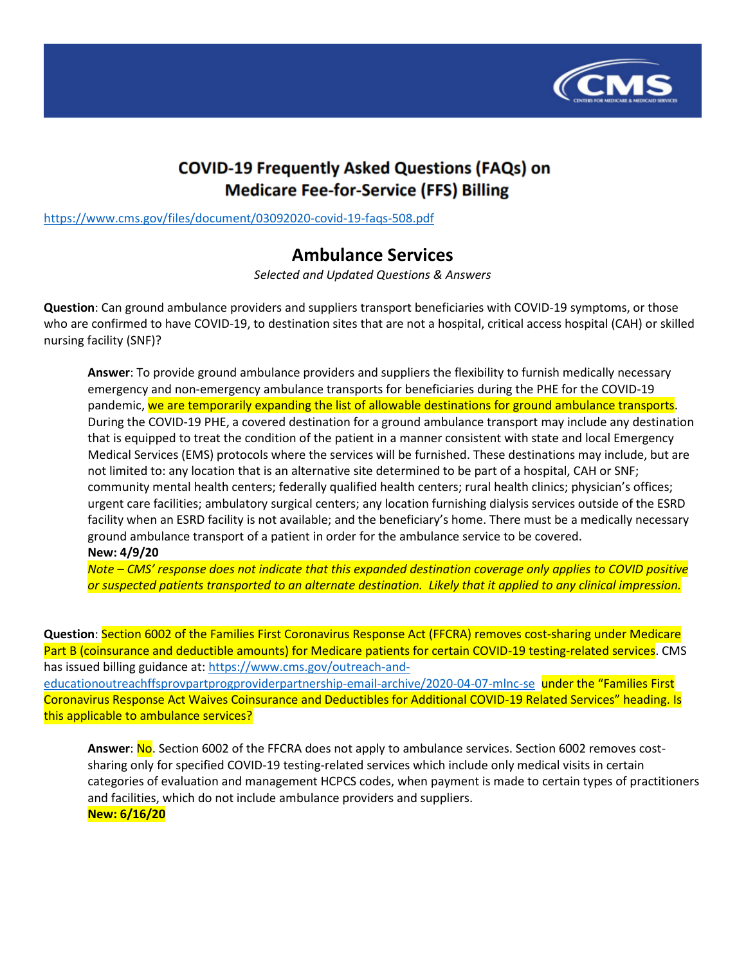

## **COVID-19 Frequently Asked Questions (FAQs) on Medicare Fee-for-Service (FFS) Billing**

<https://www.cms.gov/files/document/03092020-covid-19-faqs-508.pdf>

## **Ambulance Services**

*Selected and Updated Questions & Answers*

**Question**: Can ground ambulance providers and suppliers transport beneficiaries with COVID-19 symptoms, or those who are confirmed to have COVID-19, to destination sites that are not a hospital, critical access hospital (CAH) or skilled nursing facility (SNF)?

**Answer**: To provide ground ambulance providers and suppliers the flexibility to furnish medically necessary emergency and non-emergency ambulance transports for beneficiaries during the PHE for the COVID-19 pandemic, we are temporarily expanding the list of allowable destinations for ground ambulance transports. During the COVID-19 PHE, a covered destination for a ground ambulance transport may include any destination that is equipped to treat the condition of the patient in a manner consistent with state and local Emergency Medical Services (EMS) protocols where the services will be furnished. These destinations may include, but are not limited to: any location that is an alternative site determined to be part of a hospital, CAH or SNF; community mental health centers; federally qualified health centers; rural health clinics; physician's offices; urgent care facilities; ambulatory surgical centers; any location furnishing dialysis services outside of the ESRD facility when an ESRD facility is not available; and the beneficiary's home. There must be a medically necessary ground ambulance transport of a patient in order for the ambulance service to be covered. **New: 4/9/20**

*Note – CMS' response does not indicate that this expanded destination coverage only applies to COVID positive or suspected patients transported to an alternate destination. Likely that it applied to any clinical impression.*

**Question**: Section 6002 of the Families First Coronavirus Response Act (FFCRA) removes cost-sharing under Medicare Part B (coinsurance and deductible amounts) for Medicare patients for certain COVID-19 testing-related services. CMS has issued billing guidance at: [https://www.cms.gov/outreach-and-](https://www.cms.gov/outreach-and-educationoutreachffsprovpartprogproviderpartnership-email-archive/2020-04-07-mlnc-se)

[educationoutreachffsprovpartprogproviderpartnership-email-archive/2020-04-07-mlnc-se](https://www.cms.gov/outreach-and-educationoutreachffsprovpartprogproviderpartnership-email-archive/2020-04-07-mlnc-se) under the "Families First Coronavirus Response Act Waives Coinsurance and Deductibles for Additional COVID-19 Related Services" heading. Is this applicable to ambulance services?

Answer: No. Section 6002 of the FFCRA does not apply to ambulance services. Section 6002 removes costsharing only for specified COVID-19 testing-related services which include only medical visits in certain categories of evaluation and management HCPCS codes, when payment is made to certain types of practitioners and facilities, which do not include ambulance providers and suppliers. **New: 6/16/20**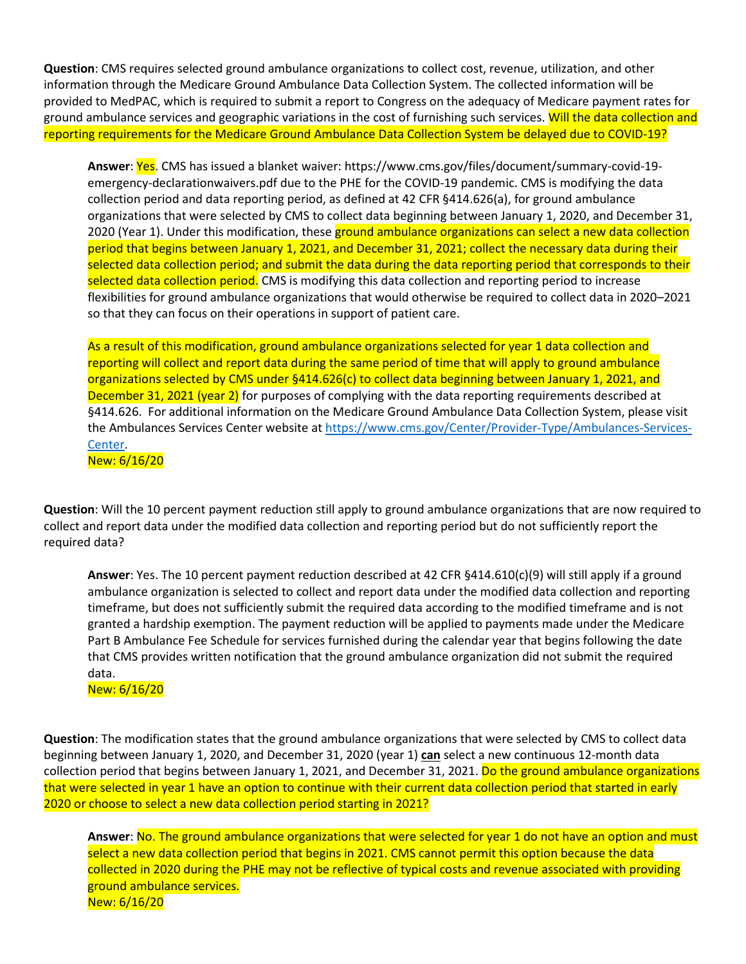**Question**: CMS requires selected ground ambulance organizations to collect cost, revenue, utilization, and other information through the Medicare Ground Ambulance Data Collection System. The collected information will be provided to MedPAC, which is required to submit a report to Congress on the adequacy of Medicare payment rates for ground ambulance services and geographic variations in the cost of furnishing such services. Will the data collection and reporting requirements for the Medicare Ground Ambulance Data Collection System be delayed due to COVID-19?

**Answer**: Yes. CMS has issued a blanket waiver: https://www.cms.gov/files/document/summary-covid-19 emergency-declarationwaivers.pdf due to the PHE for the COVID-19 pandemic. CMS is modifying the data collection period and data reporting period, as defined at 42 CFR §414.626(a), for ground ambulance organizations that were selected by CMS to collect data beginning between January 1, 2020, and December 31, 2020 (Year 1). Under this modification, these ground ambulance organizations can select a new data collection period that begins between January 1, 2021, and December 31, 2021; collect the necessary data during their selected data collection period; and submit the data during the data reporting period that corresponds to their selected data collection period. CMS is modifying this data collection and reporting period to increase flexibilities for ground ambulance organizations that would otherwise be required to collect data in 2020–2021 so that they can focus on their operations in support of patient care.

As a result of this modification, ground ambulance organizations selected for year 1 data collection and reporting will collect and report data during the same period of time that will apply to ground ambulance organizations selected by CMS under §414.626(c) to collect data beginning between January 1, 2021, and December 31, 2021 (year 2) for purposes of complying with the data reporting requirements described at §414.626. For additional information on the Medicare Ground Ambulance Data Collection System, please visit the Ambulances Services Center website at [https://www.cms.gov/Center/Provider-Type/Ambulances-Services-](https://www.cms.gov/Center/Provider-Type/Ambulances-Services-Center)[Center.](https://www.cms.gov/Center/Provider-Type/Ambulances-Services-Center) New: 6/16/20

**Question**: Will the 10 percent payment reduction still apply to ground ambulance organizations that are now required to collect and report data under the modified data collection and reporting period but do not sufficiently report the required data?

**Answer**: Yes. The 10 percent payment reduction described at 42 CFR §414.610(c)(9) will still apply if a ground ambulance organization is selected to collect and report data under the modified data collection and reporting timeframe, but does not sufficiently submit the required data according to the modified timeframe and is not granted a hardship exemption. The payment reduction will be applied to payments made under the Medicare Part B Ambulance Fee Schedule for services furnished during the calendar year that begins following the date that CMS provides written notification that the ground ambulance organization did not submit the required data.

New: 6/16/20

**Question**: The modification states that the ground ambulance organizations that were selected by CMS to collect data beginning between January 1, 2020, and December 31, 2020 (year 1) **can** select a new continuous 12-month data collection period that begins between January 1, 2021, and December 31, 2021. Do the ground ambulance organizations that were selected in year 1 have an option to continue with their current data collection period that started in early 2020 or choose to select a new data collection period starting in 2021?

**Answer**: No. The ground ambulance organizations that were selected for year 1 do not have an option and must select a new data collection period that begins in 2021. CMS cannot permit this option because the data collected in 2020 during the PHE may not be reflective of typical costs and revenue associated with providing ground ambulance services. New: 6/16/20